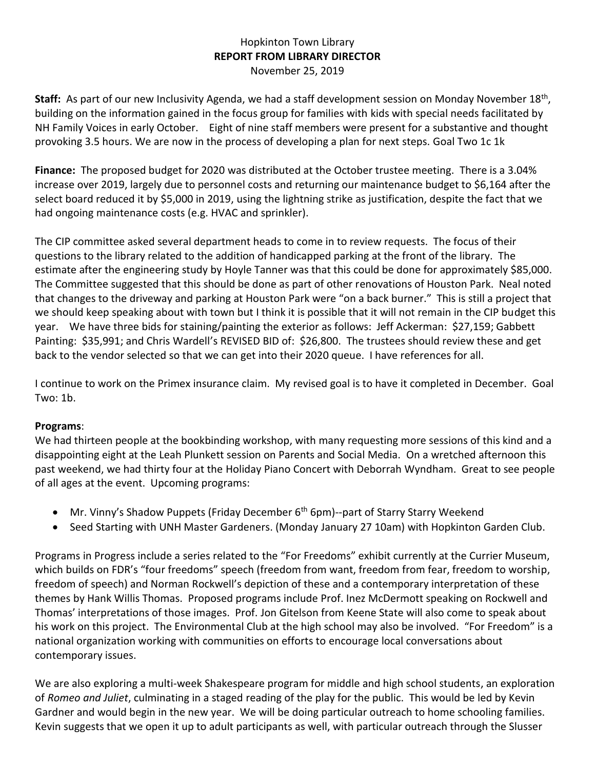## Hopkinton Town Library **REPORT FROM LIBRARY DIRECTOR** November 25, 2019

Staff: As part of our new Inclusivity Agenda, we had a staff development session on Monday November 18<sup>th</sup>, building on the information gained in the focus group for families with kids with special needs facilitated by NH Family Voices in early October. Eight of nine staff members were present for a substantive and thought provoking 3.5 hours. We are now in the process of developing a plan for next steps. Goal Two 1c 1k

**Finance:** The proposed budget for 2020 was distributed at the October trustee meeting. There is a 3.04% increase over 2019, largely due to personnel costs and returning our maintenance budget to \$6,164 after the select board reduced it by \$5,000 in 2019, using the lightning strike as justification, despite the fact that we had ongoing maintenance costs (e.g. HVAC and sprinkler).

The CIP committee asked several department heads to come in to review requests. The focus of their questions to the library related to the addition of handicapped parking at the front of the library. The estimate after the engineering study by Hoyle Tanner was that this could be done for approximately \$85,000. The Committee suggested that this should be done as part of other renovations of Houston Park. Neal noted that changes to the driveway and parking at Houston Park were "on a back burner." This is still a project that we should keep speaking about with town but I think it is possible that it will not remain in the CIP budget this year. We have three bids for staining/painting the exterior as follows: Jeff Ackerman: \$27,159; Gabbett Painting: \$35,991; and Chris Wardell's REVISED BID of: \$26,800. The trustees should review these and get back to the vendor selected so that we can get into their 2020 queue. I have references for all.

I continue to work on the Primex insurance claim. My revised goal is to have it completed in December. Goal Two: 1b.

## **Programs**:

We had thirteen people at the bookbinding workshop, with many requesting more sessions of this kind and a disappointing eight at the Leah Plunkett session on Parents and Social Media. On a wretched afternoon this past weekend, we had thirty four at the Holiday Piano Concert with Deborrah Wyndham. Great to see people of all ages at the event. Upcoming programs:

- Mr. Vinny's Shadow Puppets (Friday December 6<sup>th</sup> 6pm)--part of Starry Starry Weekend
- Seed Starting with UNH Master Gardeners. (Monday January 27 10am) with Hopkinton Garden Club.

Programs in Progress include a series related to the "For Freedoms" exhibit currently at the Currier Museum, which builds on FDR's "four freedoms" speech (freedom from want, freedom from fear, freedom to worship, freedom of speech) and Norman Rockwell's depiction of these and a contemporary interpretation of these themes by Hank Willis Thomas. Proposed programs include Prof. Inez McDermott speaking on Rockwell and Thomas' interpretations of those images. Prof. Jon Gitelson from Keene State will also come to speak about his work on this project. The Environmental Club at the high school may also be involved. "For Freedom" is a national organization working with communities on efforts to encourage local conversations about contemporary issues.

We are also exploring a multi-week Shakespeare program for middle and high school students, an exploration of *Romeo and Juliet*, culminating in a staged reading of the play for the public. This would be led by Kevin Gardner and would begin in the new year. We will be doing particular outreach to home schooling families. Kevin suggests that we open it up to adult participants as well, with particular outreach through the Slusser